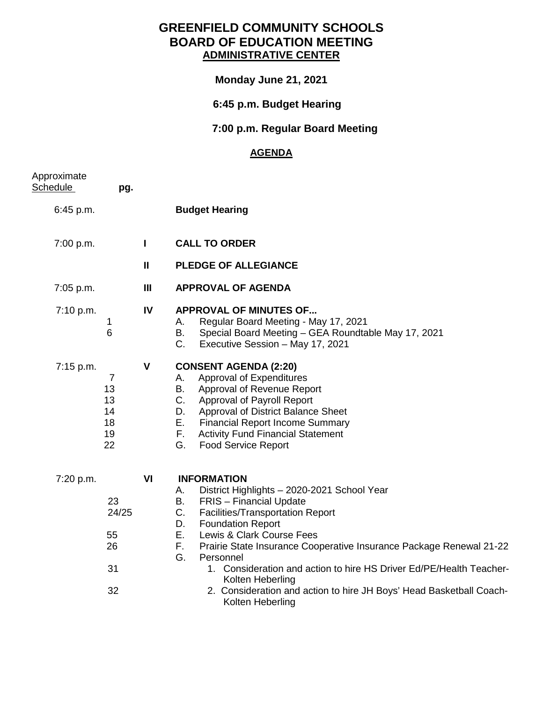# **GREENFIELD COMMUNITY SCHOOLS BOARD OF EDUCATION MEETING ADMINISTRATIVE CENTER**

### **Monday June 21, 2021**

# **6:45 p.m. Budget Hearing**

# **7:00 p.m. Regular Board Meeting**

### **AGENDA**

| Approximate<br>Schedule | pg.                                                |              |                                                                                                                                                                                                                                                                                                                                                                                                                                                                                                                                      |
|-------------------------|----------------------------------------------------|--------------|--------------------------------------------------------------------------------------------------------------------------------------------------------------------------------------------------------------------------------------------------------------------------------------------------------------------------------------------------------------------------------------------------------------------------------------------------------------------------------------------------------------------------------------|
| 6:45 p.m.               |                                                    |              | <b>Budget Hearing</b>                                                                                                                                                                                                                                                                                                                                                                                                                                                                                                                |
| 7:00 p.m.               |                                                    | $\mathbf{I}$ | <b>CALL TO ORDER</b>                                                                                                                                                                                                                                                                                                                                                                                                                                                                                                                 |
|                         |                                                    | $\mathbf{I}$ | <b>PLEDGE OF ALLEGIANCE</b>                                                                                                                                                                                                                                                                                                                                                                                                                                                                                                          |
| 7:05 p.m.               |                                                    | III          | <b>APPROVAL OF AGENDA</b>                                                                                                                                                                                                                                                                                                                                                                                                                                                                                                            |
| 7:10 p.m.               | 1<br>6                                             | IV           | <b>APPROVAL OF MINUTES OF</b><br>Regular Board Meeting - May 17, 2021<br>А.<br>Special Board Meeting - GEA Roundtable May 17, 2021<br>В.<br>$C_{\cdot}$<br>Executive Session - May 17, 2021                                                                                                                                                                                                                                                                                                                                          |
| 7:15 p.m.               | $\overline{7}$<br>13<br>13<br>14<br>18<br>19<br>22 | $\mathbf v$  | <b>CONSENT AGENDA (2:20)</b><br>Approval of Expenditures<br>А.<br>Approval of Revenue Report<br>В.<br>$C_{\cdot}$<br>Approval of Payroll Report<br>Approval of District Balance Sheet<br>D.<br>Е.<br><b>Financial Report Income Summary</b><br>F.<br><b>Activity Fund Financial Statement</b><br>G.<br><b>Food Service Report</b>                                                                                                                                                                                                    |
| 7:20 p.m.               | 23<br>24/25<br>55<br>26<br>31<br>32                | VI           | <b>INFORMATION</b><br>District Highlights - 2020-2021 School Year<br>А.<br>B.<br><b>FRIS</b> - Financial Update<br>$C_{\cdot}$<br><b>Facilities/Transportation Report</b><br><b>Foundation Report</b><br>D.<br>Е.<br>Lewis & Clark Course Fees<br>Prairie State Insurance Cooperative Insurance Package Renewal 21-22<br>F.<br>G.<br>Personnel<br>1. Consideration and action to hire HS Driver Ed/PE/Health Teacher-<br>Kolten Heberling<br>2. Consideration and action to hire JH Boys' Head Basketball Coach-<br>Kolten Heberling |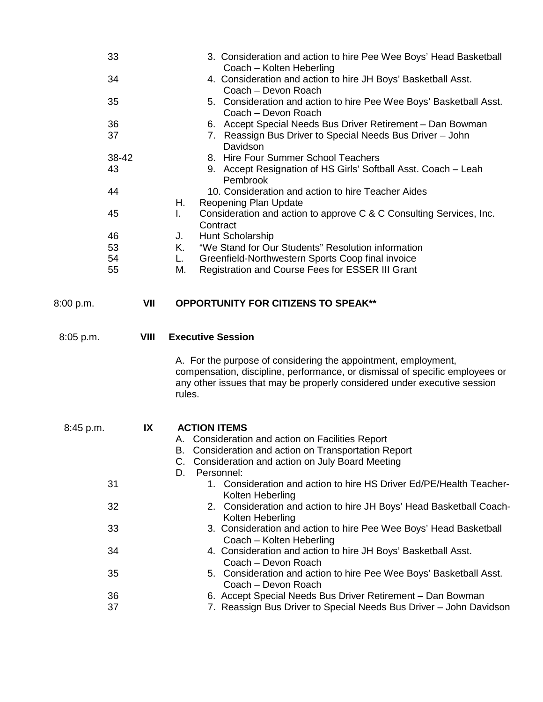|           | 33<br>34<br>35<br>36<br>37<br>38-42<br>43<br>44<br>45<br>46<br>53 |      | 3. Consideration and action to hire Pee Wee Boys' Head Basketball<br>Coach - Kolten Heberling<br>4. Consideration and action to hire JH Boys' Basketball Asst.<br>Coach - Devon Roach<br>5. Consideration and action to hire Pee Wee Boys' Basketball Asst.<br>Coach - Devon Roach<br>6. Accept Special Needs Bus Driver Retirement - Dan Bowman<br>7. Reassign Bus Driver to Special Needs Bus Driver - John<br>Davidson<br>8. Hire Four Summer School Teachers<br>9. Accept Resignation of HS Girls' Softball Asst. Coach - Leah<br>Pembrook<br>10. Consideration and action to hire Teacher Aides<br>Reopening Plan Update<br>Н.<br>Consideration and action to approve C & C Consulting Services, Inc.<br>L.<br>Contract<br>Hunt Scholarship<br>J.<br>"We Stand for Our Students" Resolution information<br>Κ. |
|-----------|-------------------------------------------------------------------|------|--------------------------------------------------------------------------------------------------------------------------------------------------------------------------------------------------------------------------------------------------------------------------------------------------------------------------------------------------------------------------------------------------------------------------------------------------------------------------------------------------------------------------------------------------------------------------------------------------------------------------------------------------------------------------------------------------------------------------------------------------------------------------------------------------------------------|
|           | 54                                                                |      | Greenfield-Northwestern Sports Coop final invoice<br>L.                                                                                                                                                                                                                                                                                                                                                                                                                                                                                                                                                                                                                                                                                                                                                            |
| 8:00 p.m. | 55                                                                | VII  | Registration and Course Fees for ESSER III Grant<br>М.<br><b>OPPORTUNITY FOR CITIZENS TO SPEAK**</b>                                                                                                                                                                                                                                                                                                                                                                                                                                                                                                                                                                                                                                                                                                               |
|           |                                                                   |      |                                                                                                                                                                                                                                                                                                                                                                                                                                                                                                                                                                                                                                                                                                                                                                                                                    |
| 8:05 p.m. |                                                                   | VIII | <b>Executive Session</b>                                                                                                                                                                                                                                                                                                                                                                                                                                                                                                                                                                                                                                                                                                                                                                                           |
|           |                                                                   |      | A. For the purpose of considering the appointment, employment,<br>compensation, discipline, performance, or dismissal of specific employees or<br>any other issues that may be properly considered under executive session<br>rules.                                                                                                                                                                                                                                                                                                                                                                                                                                                                                                                                                                               |
| 8:45 p.m. |                                                                   | IX   | <b>ACTION ITEMS</b>                                                                                                                                                                                                                                                                                                                                                                                                                                                                                                                                                                                                                                                                                                                                                                                                |
|           |                                                                   |      | A. Consideration and action on Facilities Report<br>B. Consideration and action on Transportation Report<br>C. Consideration and action on July Board Meeting<br>D.<br>Personnel:                                                                                                                                                                                                                                                                                                                                                                                                                                                                                                                                                                                                                                  |
|           | 31                                                                |      | 1. Consideration and action to hire HS Driver Ed/PE/Health Teacher-<br>Kolten Heberling                                                                                                                                                                                                                                                                                                                                                                                                                                                                                                                                                                                                                                                                                                                            |
|           | 32                                                                |      | 2. Consideration and action to hire JH Boys' Head Basketball Coach-<br>Kolten Heberling                                                                                                                                                                                                                                                                                                                                                                                                                                                                                                                                                                                                                                                                                                                            |
|           | 33                                                                |      | 3. Consideration and action to hire Pee Wee Boys' Head Basketball<br>Coach - Kolten Heberling                                                                                                                                                                                                                                                                                                                                                                                                                                                                                                                                                                                                                                                                                                                      |
|           | 34                                                                |      | 4. Consideration and action to hire JH Boys' Basketball Asst.<br>Coach - Devon Roach                                                                                                                                                                                                                                                                                                                                                                                                                                                                                                                                                                                                                                                                                                                               |
|           | 35                                                                |      | 5. Consideration and action to hire Pee Wee Boys' Basketball Asst.<br>Coach - Devon Roach                                                                                                                                                                                                                                                                                                                                                                                                                                                                                                                                                                                                                                                                                                                          |
|           | 36                                                                |      | 6. Accept Special Needs Bus Driver Retirement - Dan Bowman                                                                                                                                                                                                                                                                                                                                                                                                                                                                                                                                                                                                                                                                                                                                                         |
|           | 37                                                                |      | 7. Reassign Bus Driver to Special Needs Bus Driver - John Davidson                                                                                                                                                                                                                                                                                                                                                                                                                                                                                                                                                                                                                                                                                                                                                 |